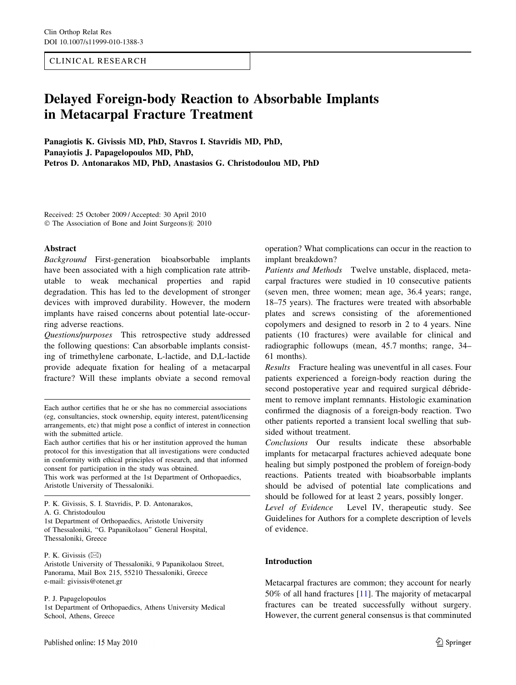CLINICAL RESEARCH

# Delayed Foreign-body Reaction to Absorbable Implants in Metacarpal Fracture Treatment

Panagiotis K. Givissis MD, PhD, Stavros I. Stavridis MD, PhD, Panayiotis J. Papagelopoulos MD, PhD, Petros D. Antonarakos MD, PhD, Anastasios G. Christodoulou MD, PhD

Received: 25 October 2009 / Accepted: 30 April 2010 © The Association of Bone and Joint Surgeons® 2010

#### Abstract

Background First-generation bioabsorbable implants have been associated with a high complication rate attributable to weak mechanical properties and rapid degradation. This has led to the development of stronger devices with improved durability. However, the modern implants have raised concerns about potential late-occurring adverse reactions.

Questions/purposes This retrospective study addressed the following questions: Can absorbable implants consisting of trimethylene carbonate, L-lactide, and D,L-lactide provide adequate fixation for healing of a metacarpal fracture? Will these implants obviate a second removal

This work was performed at the 1st Department of Orthopaedics, Aristotle University of Thessaloniki.

P. K. Givissis, S. I. Stavridis, P. D. Antonarakos,

A. G. Christodoulou

1st Department of Orthopaedics, Aristotle University of Thessaloniki, ''G. Papanikolaou'' General Hospital, Thessaloniki, Greece

P. K. Givissis  $(\boxtimes)$ 

Aristotle University of Thessaloniki, 9 Papanikolaou Street, Panorama, Mail Box 215, 55210 Thessaloniki, Greece e-mail: givissis@otenet.gr

P. J. Papagelopoulos

1st Department of Orthopaedics, Athens University Medical School, Athens, Greece

operation? What complications can occur in the reaction to implant breakdown?

Patients and Methods Twelve unstable, displaced, metacarpal fractures were studied in 10 consecutive patients (seven men, three women; mean age, 36.4 years; range, 18–75 years). The fractures were treated with absorbable plates and screws consisting of the aforementioned copolymers and designed to resorb in 2 to 4 years. Nine patients (10 fractures) were available for clinical and radiographic followups (mean, 45.7 months; range, 34– 61 months).

Results Fracture healing was uneventful in all cases. Four patients experienced a foreign-body reaction during the second postoperative year and required surgical débridement to remove implant remnants. Histologic examination confirmed the diagnosis of a foreign-body reaction. Two other patients reported a transient local swelling that subsided without treatment.

Conclusions Our results indicate these absorbable implants for metacarpal fractures achieved adequate bone healing but simply postponed the problem of foreign-body reactions. Patients treated with bioabsorbable implants should be advised of potential late complications and should be followed for at least 2 years, possibly longer.

Level of Evidence Level IV, therapeutic study. See Guidelines for Authors for a complete description of levels of evidence.

## Introduction

Metacarpal fractures are common; they account for nearly 50% of all hand fractures [[11\]](#page-6-0). The majority of metacarpal fractures can be treated successfully without surgery. However, the current general consensus is that comminuted

Each author certifies that he or she has no commercial associations (eg, consultancies, stock ownership, equity interest, patent/licensing arrangements, etc) that might pose a conflict of interest in connection with the submitted article.

Each author certifies that his or her institution approved the human protocol for this investigation that all investigations were conducted in conformity with ethical principles of research, and that informed consent for participation in the study was obtained.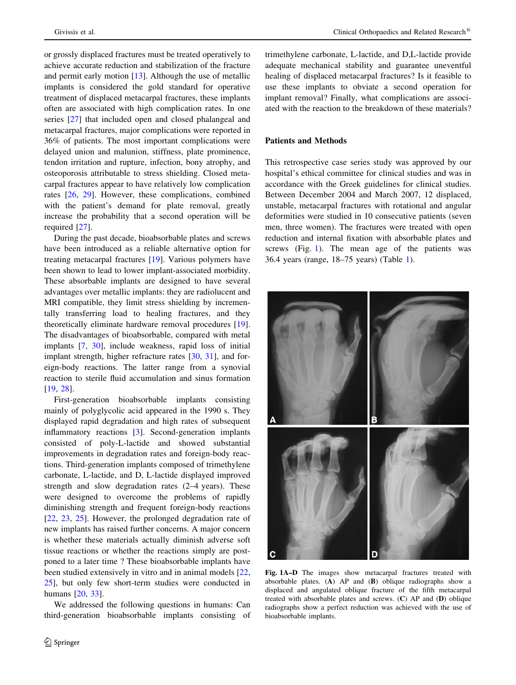or grossly displaced fractures must be treated operatively to achieve accurate reduction and stabilization of the fracture and permit early motion [[13\]](#page-6-0). Although the use of metallic implants is considered the gold standard for operative treatment of displaced metacarpal fractures, these implants often are associated with high complication rates. In one series [\[27](#page-6-0)] that included open and closed phalangeal and metacarpal fractures, major complications were reported in 36% of patients. The most important complications were delayed union and malunion, stiffness, plate prominence, tendon irritation and rupture, infection, bony atrophy, and osteoporosis attributable to stress shielding. Closed metacarpal fractures appear to have relatively low complication rates [\[26](#page-6-0), [29\]](#page-6-0). However, these complications, combined with the patient's demand for plate removal, greatly increase the probability that a second operation will be required [\[27](#page-6-0)].

During the past decade, bioabsorbable plates and screws have been introduced as a reliable alternative option for treating metacarpal fractures [[19\]](#page-6-0). Various polymers have been shown to lead to lower implant-associated morbidity. These absorbable implants are designed to have several advantages over metallic implants: they are radiolucent and MRI compatible, they limit stress shielding by incrementally transferring load to healing fractures, and they theoretically eliminate hardware removal procedures [\[19](#page-6-0)]. The disadvantages of bioabsorbable, compared with metal implants [[7,](#page-6-0) [30](#page-6-0)], include weakness, rapid loss of initial implant strength, higher refracture rates [[30,](#page-6-0) [31\]](#page-6-0), and foreign-body reactions. The latter range from a synovial reaction to sterile fluid accumulation and sinus formation [\[19](#page-6-0), [28](#page-6-0)].

First-generation bioabsorbable implants consisting mainly of polyglycolic acid appeared in the 1990 s. They displayed rapid degradation and high rates of subsequent inflammatory reactions [[3\]](#page-6-0). Second-generation implants consisted of poly-L-lactide and showed substantial improvements in degradation rates and foreign-body reactions. Third-generation implants composed of trimethylene carbonate, L-lactide, and D, L-lactide displayed improved strength and slow degradation rates (2–4 years). These were designed to overcome the problems of rapidly diminishing strength and frequent foreign-body reactions [\[22](#page-6-0), [23,](#page-6-0) [25](#page-6-0)]. However, the prolonged degradation rate of new implants has raised further concerns. A major concern is whether these materials actually diminish adverse soft tissue reactions or whether the reactions simply are postponed to a later time ? These bioabsorbable implants have been studied extensively in vitro and in animal models [[22,](#page-6-0) [25\]](#page-6-0), but only few short-term studies were conducted in humans [[20,](#page-6-0) [33\]](#page-6-0).

We addressed the following questions in humans: Can third-generation bioabsorbable implants consisting of trimethylene carbonate, L-lactide, and D,L-lactide provide adequate mechanical stability and guarantee uneventful healing of displaced metacarpal fractures? Is it feasible to use these implants to obviate a second operation for implant removal? Finally, what complications are associated with the reaction to the breakdown of these materials?

### Patients and Methods

This retrospective case series study was approved by our hospital's ethical committee for clinical studies and was in accordance with the Greek guidelines for clinical studies. Between December 2004 and March 2007, 12 displaced, unstable, metacarpal fractures with rotational and angular deformities were studied in 10 consecutive patients (seven men, three women). The fractures were treated with open reduction and internal fixation with absorbable plates and screws (Fig. 1). The mean age of the patients was 36.4 years (range, 18–75 years) (Table [1](#page-2-0)).



Fig. 1A–D The images show metacarpal fractures treated with absorbable plates. (A) AP and (B) oblique radiographs show a displaced and angulated oblique fracture of the fifth metacarpal treated with absorbable plates and screws. (C) AP and (D) oblique radiographs show a perfect reduction was achieved with the use of bioabsorbable implants.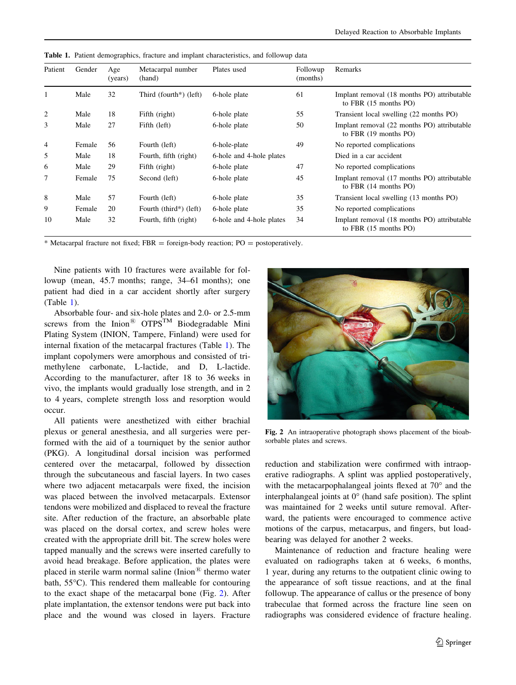| Patient | Gender | Age<br>(years) | Metacarpal number<br>(hand) | Plates used              | Followup<br>(months) | Remarks                                                                         |
|---------|--------|----------------|-----------------------------|--------------------------|----------------------|---------------------------------------------------------------------------------|
| 1       | Male   | 32             | Third (fourth*) (left)      | 6-hole plate             | 61                   | Implant removal (18 months PO) attributable<br>to FBR $(15 \text{ months } PO)$ |
| 2       | Male   | 18             | Fifth (right)               | 6-hole plate             | 55                   | Transient local swelling (22 months PO)                                         |
| 3       | Male   | 27             | Fifth (left)                | 6-hole plate             | 50                   | Implant removal (22 months PO) attributable<br>to FBR $(19$ months PO $)$       |
| 4       | Female | 56             | Fourth (left)               | 6-hole-plate             | 49                   | No reported complications                                                       |
| 5       | Male   | 18             | Fourth, fifth (right)       | 6-hole and 4-hole plates |                      | Died in a car accident                                                          |
| 6       | Male   | 29             | Fifth (right)               | 6-hole plate             | 47                   | No reported complications                                                       |
| 7       | Female | 75             | Second (left)               | 6-hole plate             | 45                   | Implant removal (17 months PO) attributable<br>to FBR $(14$ months PO $)$       |
| 8       | Male   | 57             | Fourth (left)               | 6-hole plate             | 35                   | Transient local swelling (13 months PO)                                         |
| 9       | Female | 20             | Fourth (third*) (left)      | 6-hole plate             | 35                   | No reported complications.                                                      |
| 10      | Male   | 32             | Fourth, fifth (right)       | 6-hole and 4-hole plates | 34                   | Implant removal (18 months PO) attributable<br>to FBR $(15 \text{ months PO})$  |

<span id="page-2-0"></span>Table 1. Patient demographics, fracture and implant characteristics, and followup data

\* Metacarpal fracture not fixed;  $FBR =$  foreign-body reaction;  $PO =$  postoperatively.

Nine patients with 10 fractures were available for followup (mean, 45.7 months; range, 34–61 months); one patient had died in a car accident shortly after surgery (Table 1).

Absorbable four- and six-hole plates and 2.0- or 2.5-mm screws from the Inion<sup>®</sup> OTPS<sup>TM</sup> Biodegradable Mini Plating System (INION, Tampere, Finland) were used for internal fixation of the metacarpal fractures (Table 1). The implant copolymers were amorphous and consisted of trimethylene carbonate, L-lactide, and D, L-lactide. According to the manufacturer, after 18 to 36 weeks in vivo, the implants would gradually lose strength, and in 2 to 4 years, complete strength loss and resorption would occur.

All patients were anesthetized with either brachial plexus or general anesthesia, and all surgeries were performed with the aid of a tourniquet by the senior author (PKG). A longitudinal dorsal incision was performed centered over the metacarpal, followed by dissection through the subcutaneous and fascial layers. In two cases where two adjacent metacarpals were fixed, the incision was placed between the involved metacarpals. Extensor tendons were mobilized and displaced to reveal the fracture site. After reduction of the fracture, an absorbable plate was placed on the dorsal cortex, and screw holes were created with the appropriate drill bit. The screw holes were tapped manually and the screws were inserted carefully to avoid head breakage. Before application, the plates were placed in sterile warm normal saline (Inion $^{\circledR}$  thermo water bath,  $55^{\circ}$ C). This rendered them malleable for contouring to the exact shape of the metacarpal bone (Fig. 2). After plate implantation, the extensor tendons were put back into place and the wound was closed in layers. Fracture



Fig. 2 An intraoperative photograph shows placement of the bioabsorbable plates and screws.

reduction and stabilization were confirmed with intraoperative radiographs. A splint was applied postoperatively, with the metacarpophalangeal joints flexed at  $70^{\circ}$  and the interphalangeal joints at  $0^{\circ}$  (hand safe position). The splint was maintained for 2 weeks until suture removal. Afterward, the patients were encouraged to commence active motions of the carpus, metacarpus, and fingers, but loadbearing was delayed for another 2 weeks.

Maintenance of reduction and fracture healing were evaluated on radiographs taken at 6 weeks, 6 months, 1 year, during any returns to the outpatient clinic owing to the appearance of soft tissue reactions, and at the final followup. The appearance of callus or the presence of bony trabeculae that formed across the fracture line seen on radiographs was considered evidence of fracture healing.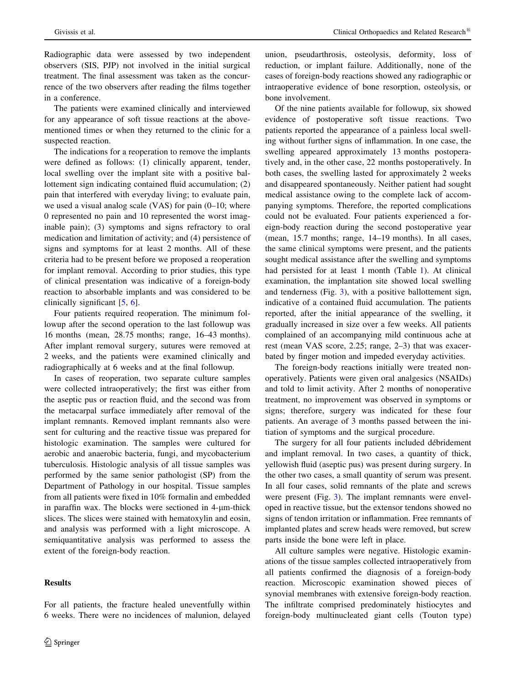Radiographic data were assessed by two independent observers (SIS, PJP) not involved in the initial surgical treatment. The final assessment was taken as the concurrence of the two observers after reading the films together in a conference.

The patients were examined clinically and interviewed for any appearance of soft tissue reactions at the abovementioned times or when they returned to the clinic for a suspected reaction.

The indications for a reoperation to remove the implants were defined as follows: (1) clinically apparent, tender, local swelling over the implant site with a positive ballottement sign indicating contained fluid accumulation; (2) pain that interfered with everyday living; to evaluate pain, we used a visual analog scale (VAS) for pain (0–10; where 0 represented no pain and 10 represented the worst imaginable pain); (3) symptoms and signs refractory to oral medication and limitation of activity; and (4) persistence of signs and symptoms for at least 2 months. All of these criteria had to be present before we proposed a reoperation for implant removal. According to prior studies, this type of clinical presentation was indicative of a foreign-body reaction to absorbable implants and was considered to be clinically significant [\[5](#page-6-0), [6\]](#page-6-0).

Four patients required reoperation. The minimum followup after the second operation to the last followup was 16 months (mean, 28.75 months; range, 16–43 months). After implant removal surgery, sutures were removed at 2 weeks, and the patients were examined clinically and radiographically at 6 weeks and at the final followup.

In cases of reoperation, two separate culture samples were collected intraoperatively; the first was either from the aseptic pus or reaction fluid, and the second was from the metacarpal surface immediately after removal of the implant remnants. Removed implant remnants also were sent for culturing and the reactive tissue was prepared for histologic examination. The samples were cultured for aerobic and anaerobic bacteria, fungi, and mycobacterium tuberculosis. Histologic analysis of all tissue samples was performed by the same senior pathologist (SP) from the Department of Pathology in our hospital. Tissue samples from all patients were fixed in 10% formalin and embedded in paraffin wax. The blocks were sectioned in  $4\text{-}\mu\text{m-thick}$ slices. The slices were stained with hematoxylin and eosin, and analysis was performed with a light microscope. A semiquantitative analysis was performed to assess the extent of the foreign-body reaction.

For all patients, the fracture healed uneventfully within 6 weeks. There were no incidences of malunion, delayed

#### Results

union, pseudarthrosis, osteolysis, deformity, loss of reduction, or implant failure. Additionally, none of the cases of foreign-body reactions showed any radiographic or intraoperative evidence of bone resorption, osteolysis, or bone involvement.

Of the nine patients available for followup, six showed evidence of postoperative soft tissue reactions. Two patients reported the appearance of a painless local swelling without further signs of inflammation. In one case, the swelling appeared approximately 13 months postoperatively and, in the other case, 22 months postoperatively. In both cases, the swelling lasted for approximately 2 weeks and disappeared spontaneously. Neither patient had sought medical assistance owing to the complete lack of accompanying symptoms. Therefore, the reported complications could not be evaluated. Four patients experienced a foreign-body reaction during the second postoperative year (mean, 15.7 months; range, 14–19 months). In all cases, the same clinical symptoms were present, and the patients sought medical assistance after the swelling and symptoms had persisted for at least 1 month (Table [1\)](#page-2-0). At clinical examination, the implantation site showed local swelling and tenderness (Fig. [3](#page-4-0)), with a positive ballottement sign, indicative of a contained fluid accumulation. The patients reported, after the initial appearance of the swelling, it gradually increased in size over a few weeks. All patients complained of an accompanying mild continuous ache at rest (mean VAS score, 2.25; range, 2–3) that was exacerbated by finger motion and impeded everyday activities.

The foreign-body reactions initially were treated nonoperatively. Patients were given oral analgesics (NSAIDs) and told to limit activity. After 2 months of nonoperative treatment, no improvement was observed in symptoms or signs; therefore, surgery was indicated for these four patients. An average of 3 months passed between the initiation of symptoms and the surgical procedure.

The surgery for all four patients included débridement and implant removal. In two cases, a quantity of thick, yellowish fluid (aseptic pus) was present during surgery. In the other two cases, a small quantity of serum was present. In all four cases, solid remnants of the plate and screws were present (Fig. [3](#page-4-0)). The implant remnants were enveloped in reactive tissue, but the extensor tendons showed no signs of tendon irritation or inflammation. Free remnants of implanted plates and screw heads were removed, but screw parts inside the bone were left in place.

All culture samples were negative. Histologic examinations of the tissue samples collected intraoperatively from all patients confirmed the diagnosis of a foreign-body reaction. Microscopic examination showed pieces of synovial membranes with extensive foreign-body reaction. The infiltrate comprised predominately histiocytes and foreign-body multinucleated giant cells (Touton type)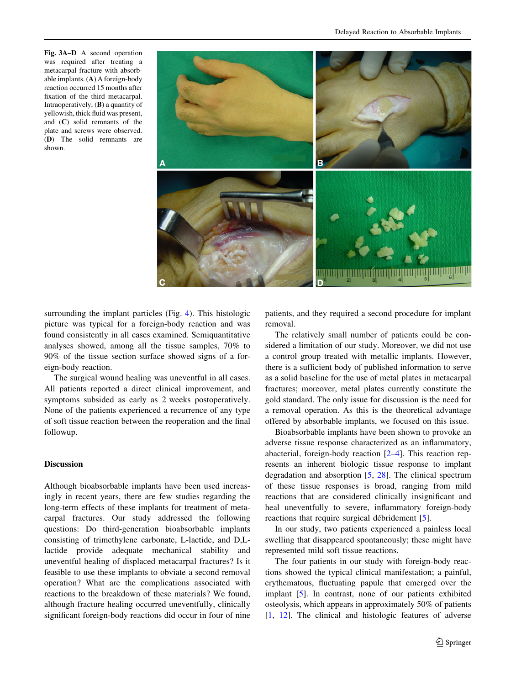<span id="page-4-0"></span>Fig. 3A–D A second operation was required after treating a metacarpal fracture with absorbable implants. (A) A foreign-body reaction occurred 15 months after fixation of the third metacarpal. Intraoperatively, (B) a quantity of yellowish, thick fluid was present, and (C) solid remnants of the plate and screws were observed. (D) The solid remnants are shown.



surrounding the implant particles (Fig. [4\)](#page-5-0). This histologic picture was typical for a foreign-body reaction and was found consistently in all cases examined. Semiquantitative analyses showed, among all the tissue samples, 70% to 90% of the tissue section surface showed signs of a foreign-body reaction.

The surgical wound healing was uneventful in all cases. All patients reported a direct clinical improvement, and symptoms subsided as early as 2 weeks postoperatively. None of the patients experienced a recurrence of any type of soft tissue reaction between the reoperation and the final followup.

### **Discussion**

Although bioabsorbable implants have been used increasingly in recent years, there are few studies regarding the long-term effects of these implants for treatment of metacarpal fractures. Our study addressed the following questions: Do third-generation bioabsorbable implants consisting of trimethylene carbonate, L-lactide, and D,Llactide provide adequate mechanical stability and uneventful healing of displaced metacarpal fractures? Is it feasible to use these implants to obviate a second removal operation? What are the complications associated with reactions to the breakdown of these materials? We found, although fracture healing occurred uneventfully, clinically significant foreign-body reactions did occur in four of nine patients, and they required a second procedure for implant removal.

The relatively small number of patients could be considered a limitation of our study. Moreover, we did not use a control group treated with metallic implants. However, there is a sufficient body of published information to serve as a solid baseline for the use of metal plates in metacarpal fractures; moreover, metal plates currently constitute the gold standard. The only issue for discussion is the need for a removal operation. As this is the theoretical advantage offered by absorbable implants, we focused on this issue.

Bioabsorbable implants have been shown to provoke an adverse tissue response characterized as an inflammatory, abacterial, foreign-body reaction [\[2–4](#page-6-0)]. This reaction represents an inherent biologic tissue response to implant degradation and absorption [\[5](#page-6-0), [28\]](#page-6-0). The clinical spectrum of these tissue responses is broad, ranging from mild reactions that are considered clinically insignificant and heal uneventfully to severe, inflammatory foreign-body reactions that require surgical débridement  $[5]$  $[5]$ .

In our study, two patients experienced a painless local swelling that disappeared spontaneously; these might have represented mild soft tissue reactions.

The four patients in our study with foreign-body reactions showed the typical clinical manifestation; a painful, erythematous, fluctuating papule that emerged over the implant [\[5](#page-6-0)]. In contrast, none of our patients exhibited osteolysis, which appears in approximately 50% of patients [\[1](#page-6-0), [12](#page-6-0)]. The clinical and histologic features of adverse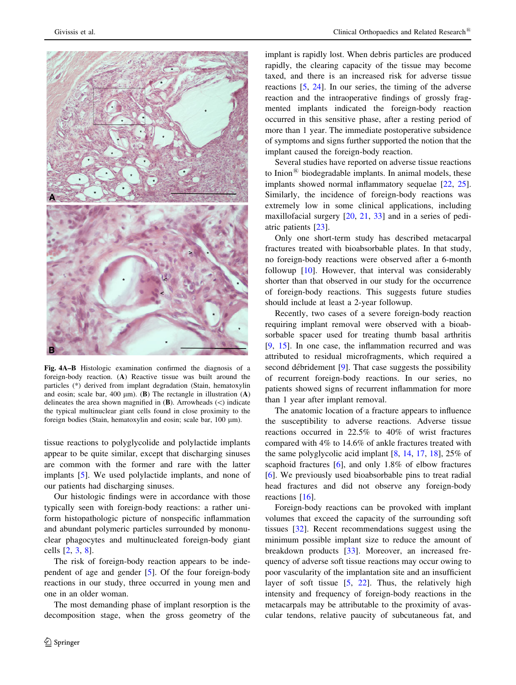<span id="page-5-0"></span>

Fig. 4A–B Histologic examination confirmed the diagnosis of a foreign-body reaction. (A) Reactive tissue was built around the particles (\*) derived from implant degradation (Stain, hematoxylin and eosin; scale bar, 400  $\mu$ m). (B) The rectangle in illustration (A) delineates the area shown magnified in  $(B)$ . Arrowheads  $(\le)$  indicate the typical multinuclear giant cells found in close proximity to the foreign bodies (Stain, hematoxylin and eosin; scale bar,  $100 \mu m$ ).

tissue reactions to polyglycolide and polylactide implants appear to be quite similar, except that discharging sinuses are common with the former and rare with the latter implants [\[5](#page-6-0)]. We used polylactide implants, and none of our patients had discharging sinuses.

Our histologic findings were in accordance with those typically seen with foreign-body reactions: a rather uniform histopathologic picture of nonspecific inflammation and abundant polymeric particles surrounded by mononuclear phagocytes and multinucleated foreign-body giant cells [\[2](#page-6-0), [3,](#page-6-0) [8\]](#page-6-0).

The risk of foreign-body reaction appears to be independent of age and gender [\[5](#page-6-0)]. Of the four foreign-body reactions in our study, three occurred in young men and one in an older woman.

The most demanding phase of implant resorption is the decomposition stage, when the gross geometry of the implant is rapidly lost. When debris particles are produced rapidly, the clearing capacity of the tissue may become taxed, and there is an increased risk for adverse tissue reactions [[5,](#page-6-0) [24\]](#page-6-0). In our series, the timing of the adverse reaction and the intraoperative findings of grossly fragmented implants indicated the foreign-body reaction occurred in this sensitive phase, after a resting period of more than 1 year. The immediate postoperative subsidence of symptoms and signs further supported the notion that the implant caused the foreign-body reaction.

Several studies have reported on adverse tissue reactions to Inion<sup>®</sup> biodegradable implants. In animal models, these implants showed normal inflammatory sequelae [[22,](#page-6-0) [25](#page-6-0)]. Similarly, the incidence of foreign-body reactions was extremely low in some clinical applications, including maxillofacial surgery [\[20](#page-6-0), [21](#page-6-0), [33](#page-6-0)] and in a series of pediatric patients [\[23](#page-6-0)].

Only one short-term study has described metacarpal fractures treated with bioabsorbable plates. In that study, no foreign-body reactions were observed after a 6-month followup [[10\]](#page-6-0). However, that interval was considerably shorter than that observed in our study for the occurrence of foreign-body reactions. This suggests future studies should include at least a 2-year followup.

Recently, two cases of a severe foreign-body reaction requiring implant removal were observed with a bioabsorbable spacer used for treating thumb basal arthritis [\[9](#page-6-0), [15](#page-6-0)]. In one case, the inflammation recurred and was attributed to residual microfragments, which required a second débridement  $[9]$  $[9]$ . That case suggests the possibility of recurrent foreign-body reactions. In our series, no patients showed signs of recurrent inflammation for more than 1 year after implant removal.

The anatomic location of a fracture appears to influence the susceptibility to adverse reactions. Adverse tissue reactions occurred in 22.5% to 40% of wrist fractures compared with 4% to 14.6% of ankle fractures treated with the same polyglycolic acid implant [[8,](#page-6-0) [14](#page-6-0), [17](#page-6-0), [18\]](#page-6-0), 25% of scaphoid fractures  $[6]$  $[6]$ , and only 1.8% of elbow fractures [\[6](#page-6-0)]. We previously used bioabsorbable pins to treat radial head fractures and did not observe any foreign-body reactions [[16\]](#page-6-0).

Foreign-body reactions can be provoked with implant volumes that exceed the capacity of the surrounding soft tissues [[32\]](#page-6-0). Recent recommendations suggest using the minimum possible implant size to reduce the amount of breakdown products [\[33](#page-6-0)]. Moreover, an increased frequency of adverse soft tissue reactions may occur owing to poor vascularity of the implantation site and an insufficient layer of soft tissue [[5](#page-6-0), [22\]](#page-6-0). Thus, the relatively high intensity and frequency of foreign-body reactions in the metacarpals may be attributable to the proximity of avascular tendons, relative paucity of subcutaneous fat, and